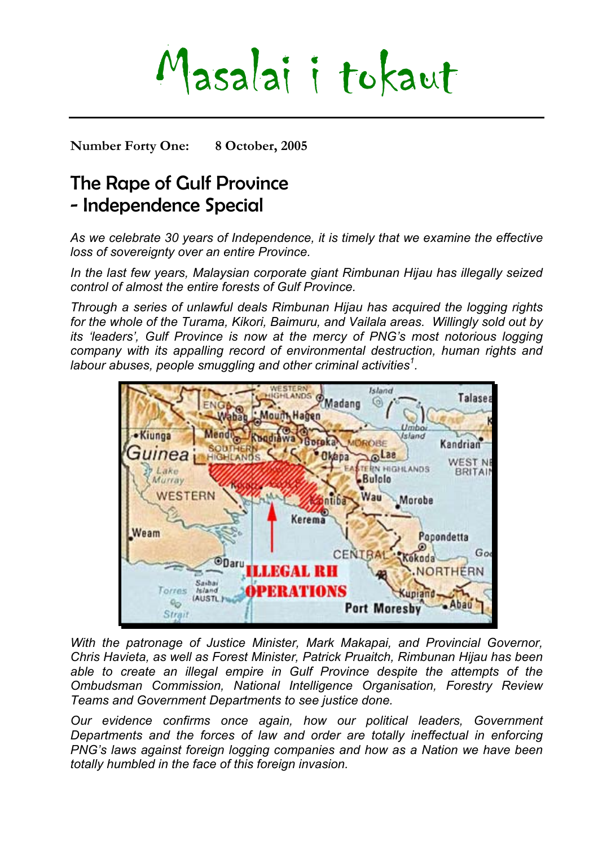# Masalai i tokaut

**Number Forty One: 8 October, 2005** 

## The Rape of Gulf Province - Independence Special

*As we celebrate 30 years of Independence, it is timely that we examine the effective loss of sovereignty over an entire Province.* 

*In the last few years, Malaysian corporate giant Rimbunan Hijau has illegally seized control of almost the entire forests of Gulf Province.* 

*Through a series of unlawful deals Rimbunan Hijau has acquired the logging rights for the whole of the Turama, Kikori, Baimuru, and Vailala areas. Willingly sold out by its 'leaders', Gulf Province is now at the mercy of PNG's most notorious logging company with its appalling record of environmental destruction, human rights and labour abuses, people smuggling and other criminal activities[1](#page-7-0) .* 



*With the patronage of Justice Minister, Mark Makapai, and Provincial Governor, Chris Havieta, as well as Forest Minister, Patrick Pruaitch, Rimbunan Hijau has been able to create an illegal empire in Gulf Province despite the attempts of the Ombudsman Commission, National Intelligence Organisation, Forestry Review Teams and Government Departments to see justice done.* 

*Our evidence confirms once again, how our political leaders, Government Departments and the forces of law and order are totally ineffectual in enforcing PNG's laws against foreign logging companies and how as a Nation we have been totally humbled in the face of this foreign invasion.*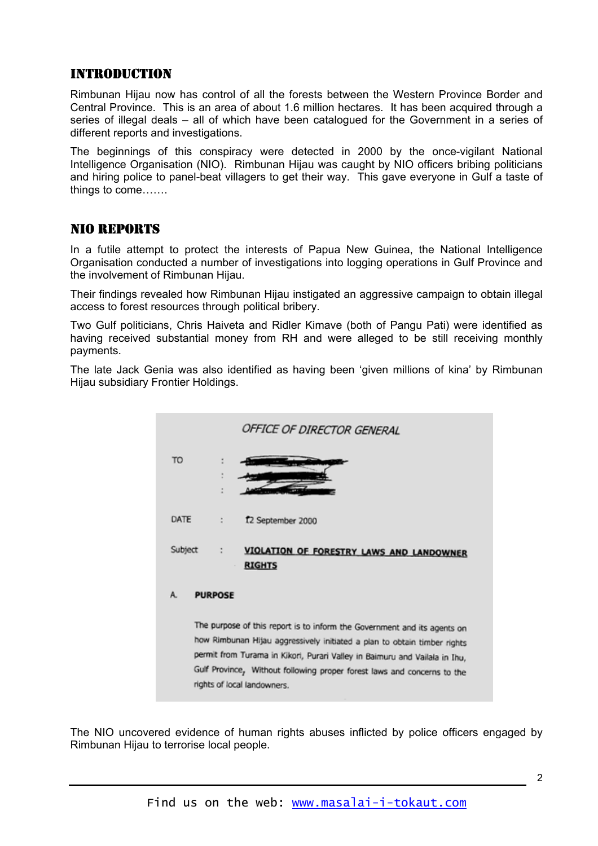#### INTRODUCTION

Rimbunan Hijau now has control of all the forests between the Western Province Border and Central Province. This is an area of about 1.6 million hectares. It has been acquired through a series of illegal deals – all of which have been catalogued for the Government in a series of different reports and investigations.

The beginnings of this conspiracy were detected in 2000 by the once-vigilant National Intelligence Organisation (NIO). Rimbunan Hijau was caught by NIO officers bribing politicians and hiring police to panel-beat villagers to get their way. This gave everyone in Gulf a taste of things to come…….

#### NIO REPORTS

In a futile attempt to protect the interests of Papua New Guinea, the National Intelligence Organisation conducted a number of investigations into logging operations in Gulf Province and the involvement of Rimbunan Hijau.

Their findings revealed how Rimbunan Hijau instigated an aggressive campaign to obtain illegal access to forest resources through political bribery.

Two Gulf politicians, Chris Haiveta and Ridler Kimave (both of Pangu Pati) were identified as having received substantial money from RH and were alleged to be still receiving monthly payments.

The late Jack Genia was also identified as having been 'given millions of kina' by Rimbunan Hijau subsidiary Frontier Holdings.



The NIO uncovered evidence of human rights abuses inflicted by police officers engaged by Rimbunan Hijau to terrorise local people.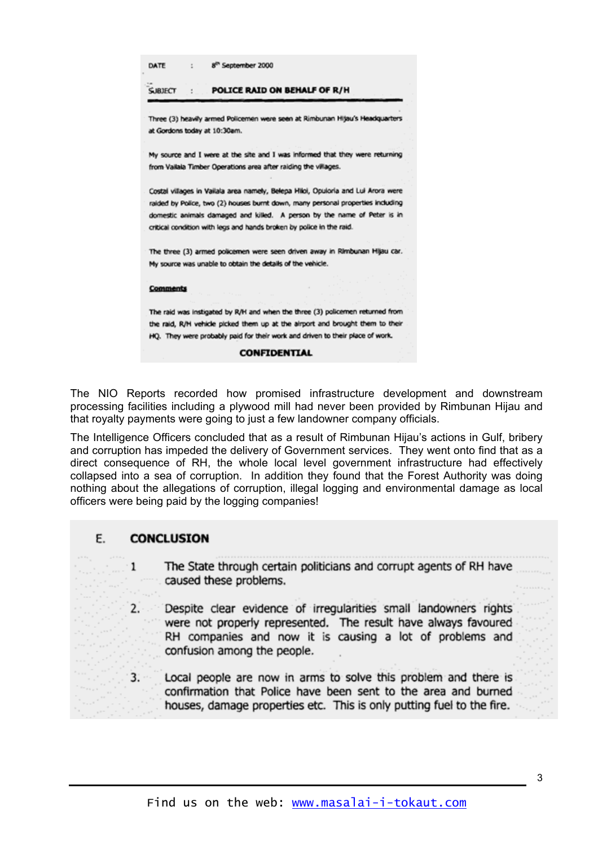| DATE           | 8 <sup>th</sup> September 2000                             |                                                                                                                                                                                                                                                                                                                          |
|----------------|------------------------------------------------------------|--------------------------------------------------------------------------------------------------------------------------------------------------------------------------------------------------------------------------------------------------------------------------------------------------------------------------|
| <b>SJBJFCT</b> |                                                            | POLICE RAID ON BEHALF OF R/H                                                                                                                                                                                                                                                                                             |
|                | at Gordons today at 10:30am.                               | Three (3) heavily armed Policemen were seen at Rimbunan Hitau's Headquarters                                                                                                                                                                                                                                             |
|                |                                                            | My source and I were at the site and I was informed that they were returning<br>from Vailala Timber Operations area after raiding the villages.                                                                                                                                                                          |
|                |                                                            | Costal villages in Vailala area namely, Belepa Hiloi, Opuloria and Lui Arora were<br>raided by Police, two (2) houses burnt down, many personal properties including<br>domestic animals damaged and killed. A person by the name of Peter is in<br>critical condition with legs and hands broken by police in the raid. |
|                | My source was unable to obtain the details of the vehicle. | The three (3) armed policemen were seen driven away in Rimbunan Hijau car.                                                                                                                                                                                                                                               |
| Comments       |                                                            |                                                                                                                                                                                                                                                                                                                          |
|                |                                                            | The raid was instigated by R/H and when the three (3) policemen returned from<br>the raid, R/H vehicle picked them up at the airport and brought them to their<br>HO. They were probably paid for their work and driven to their place of work.<br><b>CONETDENTTAL</b>                                                   |

The NIO Reports recorded how promised infrastructure development and downstream processing facilities including a plywood mill had never been provided by Rimbunan Hijau and that royalty payments were going to just a few landowner company officials.

The Intelligence Officers concluded that as a result of Rimbunan Hijau's actions in Gulf, bribery and corruption has impeded the delivery of Government services. They went onto find that as a direct consequence of RH, the whole local level government infrastructure had effectively collapsed into a sea of corruption. In addition they found that the Forest Authority was doing nothing about the allegations of corruption, illegal logging and environmental damage as local officers were being paid by the logging companies!

#### F. **CONCLUSION**

- The State through certain politicians and corrupt agents of RH have  $\mathbf{1}$ caused these problems.
- Despite clear evidence of irregularities small landowners rights  $2.$ were not properly represented. The result have always favoured RH companies and now it is causing a lot of problems and confusion among the people.
- Local people are now in arms to solve this problem and there is  $3.$ confirmation that Police have been sent to the area and burned houses, damage properties etc. This is only putting fuel to the fire.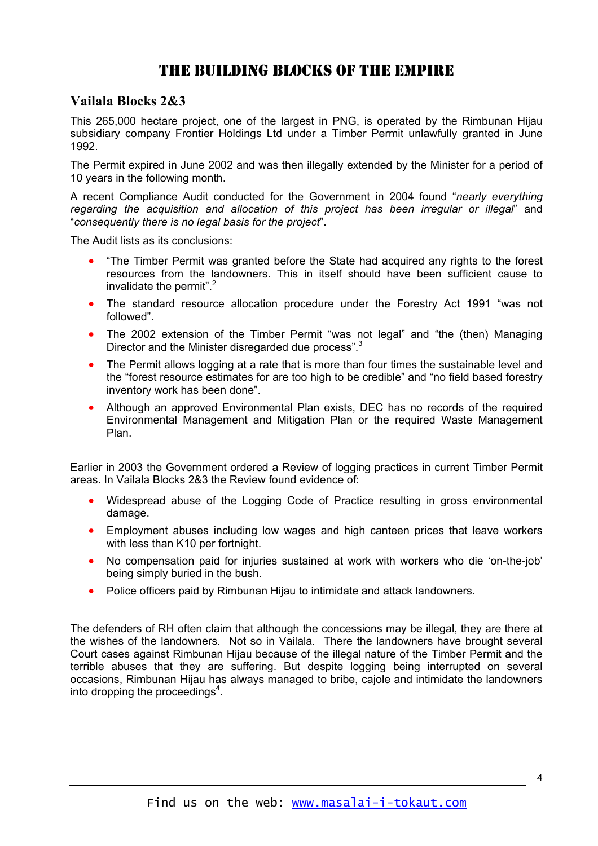### THE BUILDING BLOCKS OF THE EMPIRE

#### **Vailala Blocks 2&3**

This 265,000 hectare project, one of the largest in PNG, is operated by the Rimbunan Hijau subsidiary company Frontier Holdings Ltd under a Timber Permit unlawfully granted in June 1992.

The Permit expired in June 2002 and was then illegally extended by the Minister for a period of 10 years in the following month.

A recent Compliance Audit conducted for the Government in 2004 found "*nearly everything regarding the acquisition and allocation of this project has been irregular or illegal*" and "*consequently there is no legal basis for the project*".

The Audit lists as its conclusions:

- "The Timber Permit was granted before the State had acquired any rights to the forest resources from the landowners. This in itself should have been sufficient cause to invalidate the permit".<sup>[2](#page-7-1)</sup>
- The standard resource allocation procedure under the Forestry Act 1991 "was not followed".
- The 2002 extension of the Timber Permit "was not legal" and "the (then) Managing Director and the Minister disregarded due process".<sup>[3](#page-7-2)</sup>
- The Permit allows logging at a rate that is more than four times the sustainable level and the "forest resource estimates for are too high to be credible" and "no field based forestry inventory work has been done".
- Although an approved Environmental Plan exists, DEC has no records of the required Environmental Management and Mitigation Plan or the required Waste Management Plan.

Earlier in 2003 the Government ordered a Review of logging practices in current Timber Permit areas. In Vailala Blocks 2&3 the Review found evidence of:

- Widespread abuse of the Logging Code of Practice resulting in gross environmental damage.
- Employment abuses including low wages and high canteen prices that leave workers with less than K10 per fortnight.
- No compensation paid for injuries sustained at work with workers who die 'on-the-job' being simply buried in the bush.
- Police officers paid by Rimbunan Hijau to intimidate and attack landowners.

The defenders of RH often claim that although the concessions may be illegal, they are there at the wishes of the landowners. Not so in Vailala. There the landowners have brought several Court cases against Rimbunan Hijau because of the illegal nature of the Timber Permit and the terrible abuses that they are suffering. But despite logging being interrupted on several occasions, Rimbunan Hijau has always managed to bribe, cajole and intimidate the landowners into dropping the proceedings<sup>[4](#page-7-3)</sup>.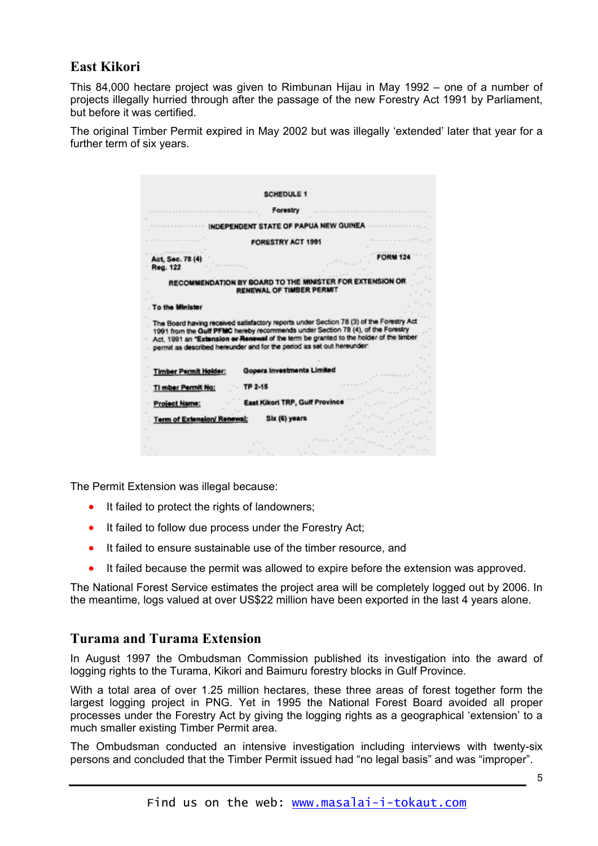#### **East Kikori**

This 84,000 hectare project was given to Rimbunan Hijau in May 1992 – one of a number of projects illegally hurried through after the passage of the new Forestry Act 1991 by Parliament, but before it was certified.

The original Timber Permit expired in May 2002 but was illegally 'extended' later that year for a further term of six years.

|                              | <b>SCHEDULE 1</b>                                                                                                                                                                                                                                                                                                                             |  |
|------------------------------|-----------------------------------------------------------------------------------------------------------------------------------------------------------------------------------------------------------------------------------------------------------------------------------------------------------------------------------------------|--|
|                              | Forestry                                                                                                                                                                                                                                                                                                                                      |  |
|                              | INDEPENDENT STATE OF PAPUA NEW GUINEA                                                                                                                                                                                                                                                                                                         |  |
|                              | <b>FORESTRY ACT 1991</b>                                                                                                                                                                                                                                                                                                                      |  |
| Act, Sec. 78 (4<br>Reg. 122  |                                                                                                                                                                                                                                                                                                                                               |  |
|                              | RECOMMENDATION BY BOARD TO THE MINISTER<br>RENEWAL OF TIMBER PERMIT                                                                                                                                                                                                                                                                           |  |
| To the Minister              |                                                                                                                                                                                                                                                                                                                                               |  |
|                              | The Board having received satisfactory reports under Section 78 (3) of the Forestry Act<br>1991 from the Gulf PFMC hereby recommends under Section 78 (4), of the Forestry<br>Act, 1991 an "Extension or Renewal of the term be granted to the holder of the timber<br>permit as described hereunder and for the period as set out hereunder: |  |
| <b>Timber Permit Holder:</b> | Gopera Investments Limited                                                                                                                                                                                                                                                                                                                    |  |
| TI mber Permit No:           | TP 2-15                                                                                                                                                                                                                                                                                                                                       |  |
| Project Name:                | East Kikori TRP, Gulf Provinc                                                                                                                                                                                                                                                                                                                 |  |
| Term of Extension/ Renewal:  | Six (6) years                                                                                                                                                                                                                                                                                                                                 |  |
|                              |                                                                                                                                                                                                                                                                                                                                               |  |
|                              |                                                                                                                                                                                                                                                                                                                                               |  |

The Permit Extension was illegal because:

- It failed to protect the rights of landowners;
- It failed to follow due process under the Forestry Act;
- It failed to ensure sustainable use of the timber resource, and
- It failed because the permit was allowed to expire before the extension was approved.

The National Forest Service estimates the project area will be completely logged out by 2006. In the meantime, logs valued at over US\$22 million have been exported in the last 4 years alone.

#### **Turama and Turama Extension**

In August 1997 the Ombudsman Commission published its investigation into the award of logging rights to the Turama, Kikori and Baimuru forestry blocks in Gulf Province.

With a total area of over 1.25 million hectares, these three areas of forest together form the largest logging project in PNG. Yet in 1995 the National Forest Board avoided all proper processes under the Forestry Act by giving the logging rights as a geographical 'extension' to a much smaller existing Timber Permit area.

The Ombudsman conducted an intensive investigation including interviews with twenty-six persons and concluded that the Timber Permit issued had "no legal basis" and was "improper".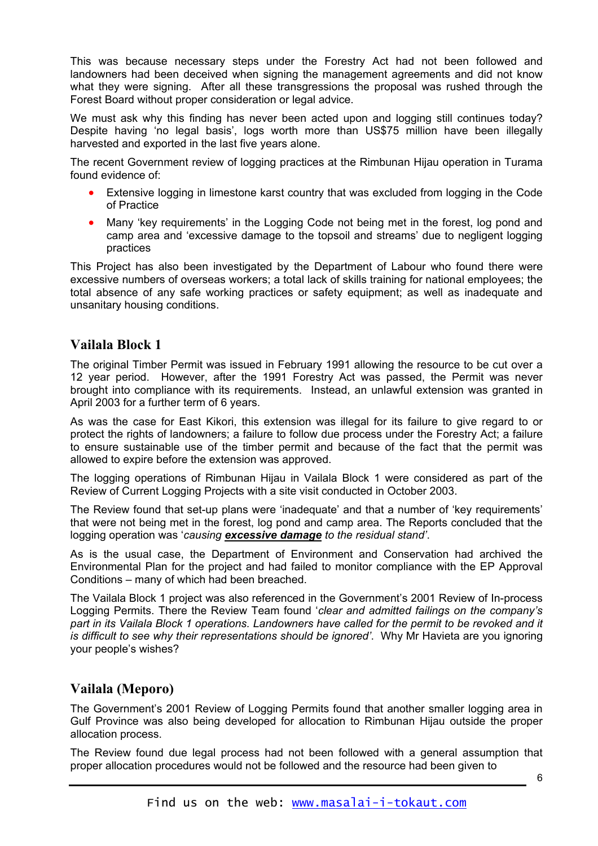This was because necessary steps under the Forestry Act had not been followed and landowners had been deceived when signing the management agreements and did not know what they were signing. After all these transgressions the proposal was rushed through the Forest Board without proper consideration or legal advice.

We must ask why this finding has never been acted upon and logging still continues today? Despite having 'no legal basis', logs worth more than US\$75 million have been illegally harvested and exported in the last five years alone.

The recent Government review of logging practices at the Rimbunan Hijau operation in Turama found evidence of:

- Extensive logging in limestone karst country that was excluded from logging in the Code of Practice
- Many 'key requirements' in the Logging Code not being met in the forest, log pond and camp area and 'excessive damage to the topsoil and streams' due to negligent logging practices

This Project has also been investigated by the Department of Labour who found there were excessive numbers of overseas workers; a total lack of skills training for national employees; the total absence of any safe working practices or safety equipment; as well as inadequate and unsanitary housing conditions.

#### **Vailala Block 1**

The original Timber Permit was issued in February 1991 allowing the resource to be cut over a 12 year period. However, after the 1991 Forestry Act was passed, the Permit was never brought into compliance with its requirements. Instead, an unlawful extension was granted in April 2003 for a further term of 6 years.

As was the case for East Kikori, this extension was illegal for its failure to give regard to or protect the rights of landowners; a failure to follow due process under the Forestry Act; a failure to ensure sustainable use of the timber permit and because of the fact that the permit was allowed to expire before the extension was approved.

The logging operations of Rimbunan Hijau in Vailala Block 1 were considered as part of the Review of Current Logging Projects with a site visit conducted in October 2003.

The Review found that set-up plans were 'inadequate' and that a number of 'key requirements' that were not being met in the forest, log pond and camp area. The Reports concluded that the logging operation was '*causing excessive damage to the residual stand'*.

As is the usual case, the Department of Environment and Conservation had archived the Environmental Plan for the project and had failed to monitor compliance with the EP Approval Conditions – many of which had been breached.

The Vailala Block 1 project was also referenced in the Government's 2001 Review of In-process Logging Permits. There the Review Team found '*clear and admitted failings on the company's part in its Vailala Block 1 operations. Landowners have called for the permit to be revoked and it is difficult to see why their representations should be ignored'*. Why Mr Havieta are you ignoring your people's wishes?

#### **Vailala (Meporo)**

The Government's 2001 Review of Logging Permits found that another smaller logging area in Gulf Province was also being developed for allocation to Rimbunan Hijau outside the proper allocation process.

The Review found due legal process had not been followed with a general assumption that proper allocation procedures would not be followed and the resource had been given to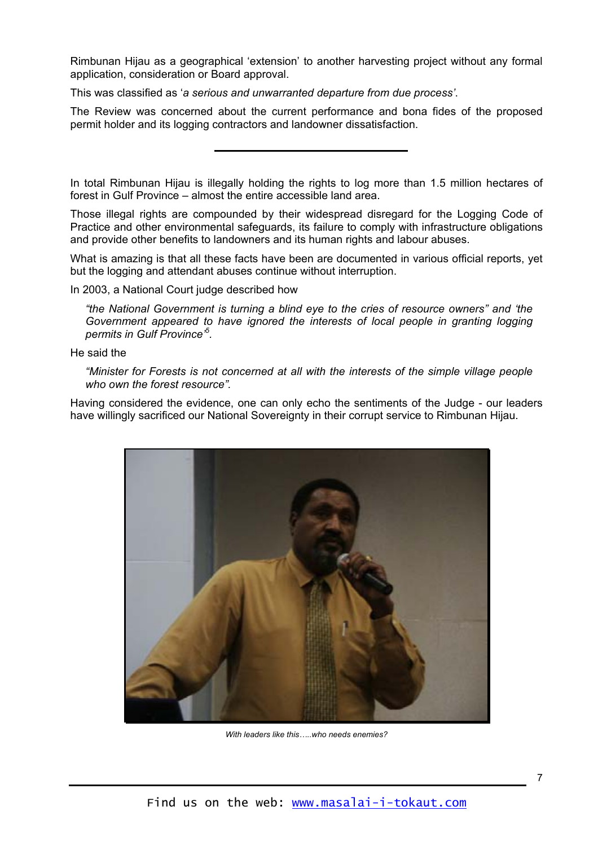Rimbunan Hijau as a geographical 'extension' to another harvesting project without any formal application, consideration or Board approval.

This was classified as '*a serious and unwarranted departure from due process'*.

The Review was concerned about the current performance and bona fides of the proposed permit holder and its logging contractors and landowner dissatisfaction.

In total Rimbunan Hijau is illegally holding the rights to log more than 1.5 million hectares of forest in Gulf Province – almost the entire accessible land area.

Those illegal rights are compounded by their widespread disregard for the Logging Code of Practice and other environmental safeguards, its failure to comply with infrastructure obligations and provide other benefits to landowners and its human rights and labour abuses.

What is amazing is that all these facts have been are documented in various official reports, yet but the logging and attendant abuses continue without interruption.

In 2003, a National Court judge described how

*"the National Government is turning a blind eye to the cries of resource owners" and 'the Government appeared to have ignored the interests of local people in granting logging permits in Gulf Province'[5](#page-7-4) .* 

He said the

*"Minister for Forests is not concerned at all with the interests of the simple village people who own the forest resource".*

Having considered the evidence, one can only echo the sentiments of the Judge - our leaders have willingly sacrificed our National Sovereignty in their corrupt service to Rimbunan Hijau.



*With leaders like this…..who needs enemies?*